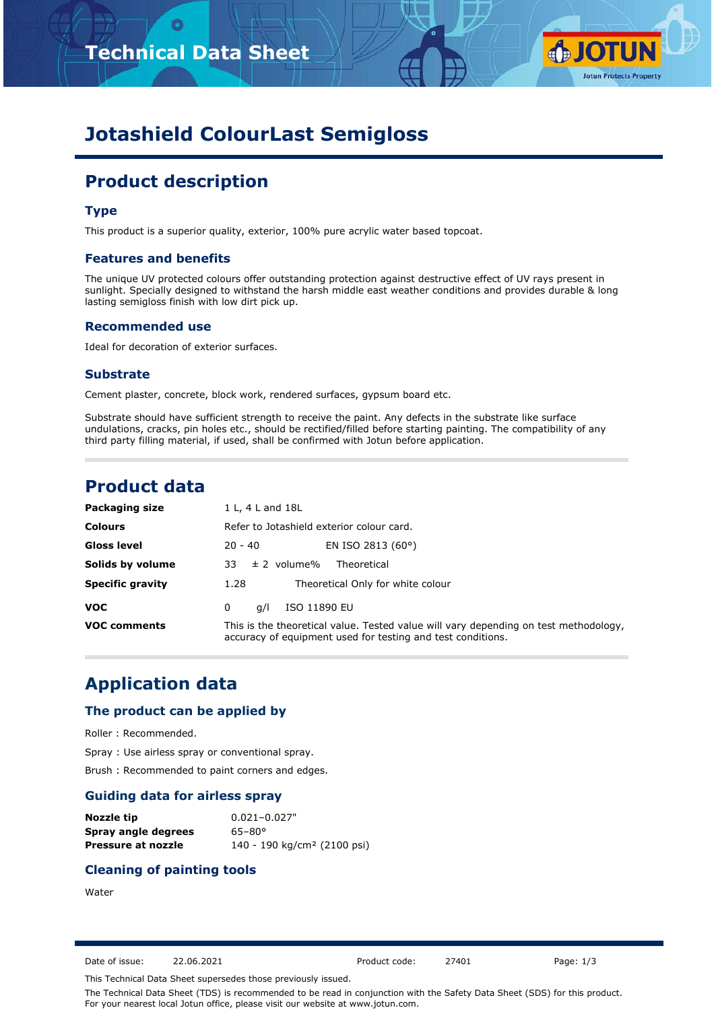# **Technical Data Sheet**



# **Jotashield ColourLast Semigloss**

# **Product description**

### **Type**

This product is a superior quality, exterior, 100% pure acrylic water based topcoat.

#### **Features and benefits**

The unique UV protected colours offer outstanding protection against destructive effect of UV rays present in sunlight. Specially designed to withstand the harsh middle east weather conditions and provides durable & long lasting semigloss finish with low dirt pick up.

#### **Recommended use**

Ideal for decoration of exterior surfaces.

#### **Substrate**

Cement plaster, concrete, block work, rendered surfaces, gypsum board etc.

Substrate should have sufficient strength to receive the paint. Any defects in the substrate like surface undulations, cracks, pin holes etc., should be rectified/filled before starting painting. The compatibility of any third party filling material, if used, shall be confirmed with Jotun before application.

# **Product data**

| Packaging size          | 1 L, 4 L and 18L                                                                                                                                    |
|-------------------------|-----------------------------------------------------------------------------------------------------------------------------------------------------|
| <b>Colours</b>          | Refer to Jotashield exterior colour card.                                                                                                           |
| <b>Gloss level</b>      | EN ISO 2813 (60°)<br>$20 - 40$                                                                                                                      |
| Solids by volume        | $33 \pm 2$ volume%<br>Theoretical                                                                                                                   |
| <b>Specific gravity</b> | Theoretical Only for white colour<br>1.28                                                                                                           |
| <b>VOC</b>              | ISO 11890 EU<br>0<br>a/l                                                                                                                            |
| <b>VOC comments</b>     | This is the theoretical value. Tested value will vary depending on test methodology,<br>accuracy of equipment used for testing and test conditions. |

# **Application data**

#### **The product can be applied by**

Roller : Recommended.

Spray : Use airless spray or conventional spray.

Brush : Recommended to paint corners and edges.

#### **Guiding data for airless spray**

| Nozzle tip          | $0.021 - 0.027"$                        |
|---------------------|-----------------------------------------|
| Spray angle degrees | $65 - 80^{\circ}$                       |
| Pressure at nozzle  | 140 - 190 kg/cm <sup>2</sup> (2100 psi) |

### **Cleaning of painting tools**

#### Water

Date of issue: 22.06.2021 Product code: 27401 Page: 1/3

This Technical Data Sheet supersedes those previously issued.

The Technical Data Sheet (TDS) is recommended to be read in conjunction with the Safety Data Sheet (SDS) for this product. For your nearest local Jotun office, please visit our website at www.jotun.com.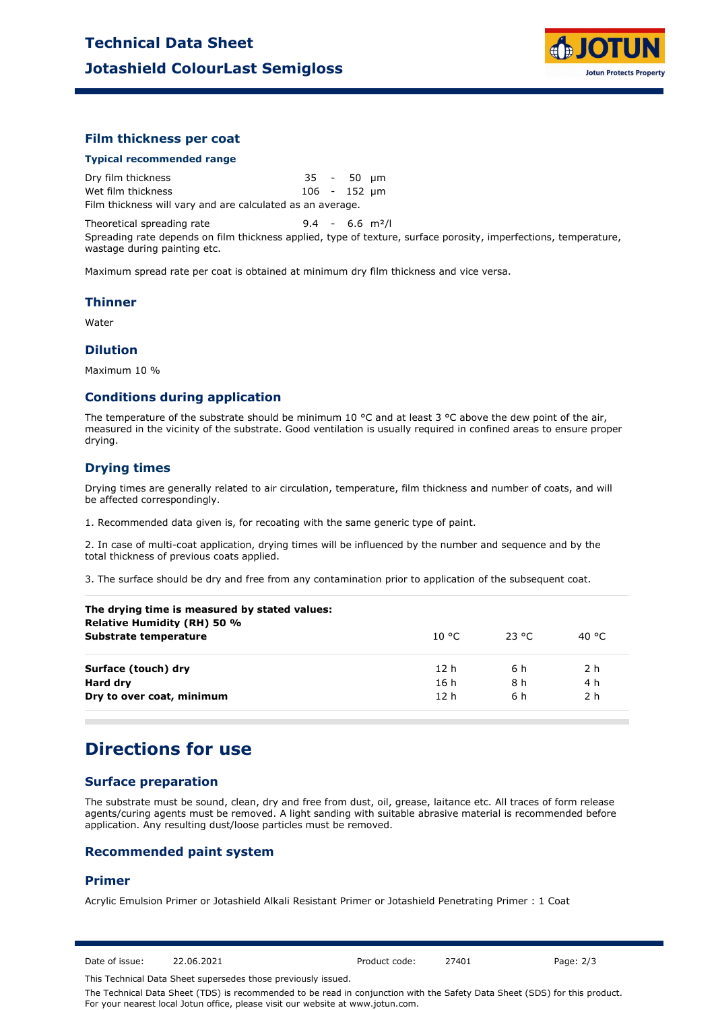

### **Film thickness per coat**

#### **Typical recommended range**

Dry film thickness 35 - 50 µm Wet film thickness 106 - 152 µm Film thickness will vary and are calculated as an average.

Theoretical spreading rate 9.4 - 6.6 m²/l

Spreading rate depends on film thickness applied, type of texture, surface porosity, imperfections, temperature, wastage during painting etc.

Maximum spread rate per coat is obtained at minimum dry film thickness and vice versa.

#### **Thinner**

Water

#### **Dilution**

Maximum 10 %

#### **Conditions during application**

The temperature of the substrate should be minimum 10 °C and at least 3 °C above the dew point of the air, measured in the vicinity of the substrate. Good ventilation is usually required in confined areas to ensure proper drying.

### **Drying times**

Drying times are generally related to air circulation, temperature, film thickness and number of coats, and will be affected correspondingly.

1. Recommended data given is, for recoating with the same generic type of paint.

2. In case of multi-coat application, drying times will be influenced by the number and sequence and by the total thickness of previous coats applied.

3. The surface should be dry and free from any contamination prior to application of the subsequent coat.

| 10 °C.          | 23 °C | 40 °C |
|-----------------|-------|-------|
| 12 h            | 6 h   | 2 h   |
| 16 h            | 8 h   | 4 h   |
| 12 <sub>h</sub> | 6 h   | 2 h   |
|                 |       |       |

## **Directions for use**

## **Surface preparation**

The substrate must be sound, clean, dry and free from dust, oil, grease, laitance etc. All traces of form release agents/curing agents must be removed. A light sanding with suitable abrasive material is recommended before application. Any resulting dust/loose particles must be removed.

#### **Recommended paint system**

### **Primer**

Acrylic Emulsion Primer or Jotashield Alkali Resistant Primer or Jotashield Penetrating Primer : 1 Coat

Date of issue: 22.06.2021 Product code: 27401 Page: 2/3

This Technical Data Sheet supersedes those previously issued.

The Technical Data Sheet (TDS) is recommended to be read in conjunction with the Safety Data Sheet (SDS) for this product. For your nearest local Jotun office, please visit our website at www.jotun.com.